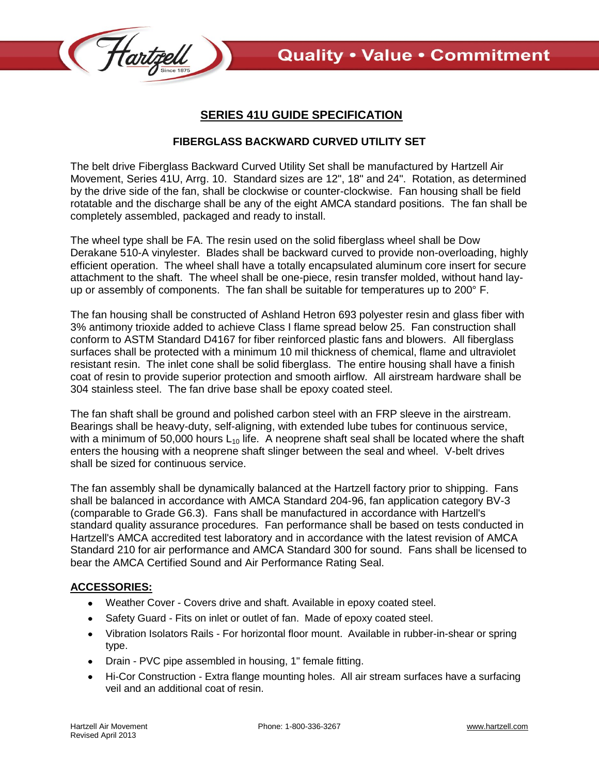

## **SERIES 41U GUIDE SPECIFICATION**

## **FIBERGLASS BACKWARD CURVED UTILITY SET**

The belt drive Fiberglass Backward Curved Utility Set shall be manufactured by Hartzell Air Movement, Series 41U, Arrg. 10. Standard sizes are 12", 18" and 24". Rotation, as determined by the drive side of the fan, shall be clockwise or counter-clockwise. Fan housing shall be field rotatable and the discharge shall be any of the eight AMCA standard positions. The fan shall be completely assembled, packaged and ready to install.

The wheel type shall be FA. The resin used on the solid fiberglass wheel shall be Dow Derakane 510-A vinylester. Blades shall be backward curved to provide non-overloading, highly efficient operation. The wheel shall have a totally encapsulated aluminum core insert for secure attachment to the shaft. The wheel shall be one-piece, resin transfer molded, without hand layup or assembly of components. The fan shall be suitable for temperatures up to 200° F.

The fan housing shall be constructed of Ashland Hetron 693 polyester resin and glass fiber with 3% antimony trioxide added to achieve Class I flame spread below 25. Fan construction shall conform to ASTM Standard D4167 for fiber reinforced plastic fans and blowers. All fiberglass surfaces shall be protected with a minimum 10 mil thickness of chemical, flame and ultraviolet resistant resin. The inlet cone shall be solid fiberglass. The entire housing shall have a finish coat of resin to provide superior protection and smooth airflow. All airstream hardware shall be 304 stainless steel. The fan drive base shall be epoxy coated steel.

The fan shaft shall be ground and polished carbon steel with an FRP sleeve in the airstream. Bearings shall be heavy-duty, self-aligning, with extended lube tubes for continuous service, with a minimum of 50,000 hours  $L_{10}$  life. A neoprene shaft seal shall be located where the shaft enters the housing with a neoprene shaft slinger between the seal and wheel. V-belt drives shall be sized for continuous service.

The fan assembly shall be dynamically balanced at the Hartzell factory prior to shipping. Fans shall be balanced in accordance with AMCA Standard 204-96, fan application category BV-3 (comparable to Grade G6.3). Fans shall be manufactured in accordance with Hartzell's standard quality assurance procedures. Fan performance shall be based on tests conducted in Hartzell's AMCA accredited test laboratory and in accordance with the latest revision of AMCA Standard 210 for air performance and AMCA Standard 300 for sound. Fans shall be licensed to bear the AMCA Certified Sound and Air Performance Rating Seal.

## **ACCESSORIES:**

- Weather Cover Covers drive and shaft. Available in epoxy coated steel.
- Safety Guard Fits on inlet or outlet of fan. Made of epoxy coated steel.
- Vibration Isolators Rails For horizontal floor mount. Available in rubber-in-shear or spring type.
- Drain PVC pipe assembled in housing, 1" female fitting.
- $\bullet$ Hi-Cor Construction - Extra flange mounting holes. All air stream surfaces have a surfacing veil and an additional coat of resin.